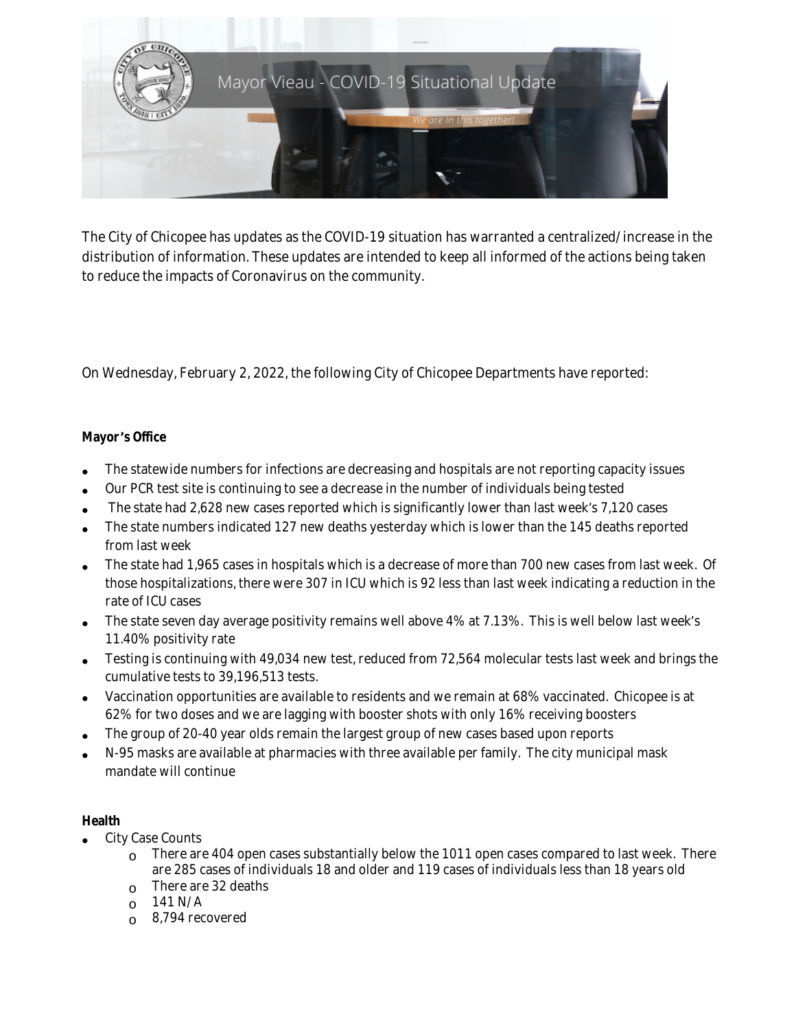

The City of Chicopee has updates as the COVID-19 situation has warranted a centralized/increase in the distribution of information. These updates are intended to keep all informed of the actions being taken to reduce the impacts of Coronavirus on the community.

On Wednesday, February 2, 2022, the following City of Chicopee Departments have reported:

## **Mayor** '**s Office**

- The statewide numbers for infections are decreasing and hospitals are not reporting capacity issues
- Our PCR test site is continuing to see a decrease in the number of individuals being tested
- The state had 2,628 new cases reported which is significantly lower than last week's 7,120 cases
- The state numbers indicated 127 new deaths yesterday which is lower than the 145 deaths reported from last week
- The state had 1,965 cases in hospitals which is a decrease of more than 700 new cases from last week. Of those hospitalizations, there were 307 in ICU which is 92 less than last week indicating a reduction in the rate of ICU cases
- The state seven day average positivity remains well above 4% at 7.13%. This is well below last week's 11.40% positivity rate
- Testing is continuing with 49,034 new test, reduced from 72,564 molecular tests last week and brings the cumulative tests to 39,196,513 tests.
- Vaccination opportunities are available to residents and we remain at 68% vaccinated. Chicopee is at 62% for two doses and we are lagging with booster shots with only 16% receiving boosters
- The group of 20-40 year olds remain the largest group of new cases based upon reports
- N-95 masks are available at pharmacies with three available per family. The city municipal mask mandate will continue

## **Health**

- City Case Counts
	- $\degree$  There are 404 open cases substantially below the 1011 open cases compared to last week. There are 285 cases of individuals 18 and older and 119 cases of individuals less than 18 years old
	- $\circ$  There are 32 deaths
	- $O$  141 N/A
	- $\circ$  8,794 recovered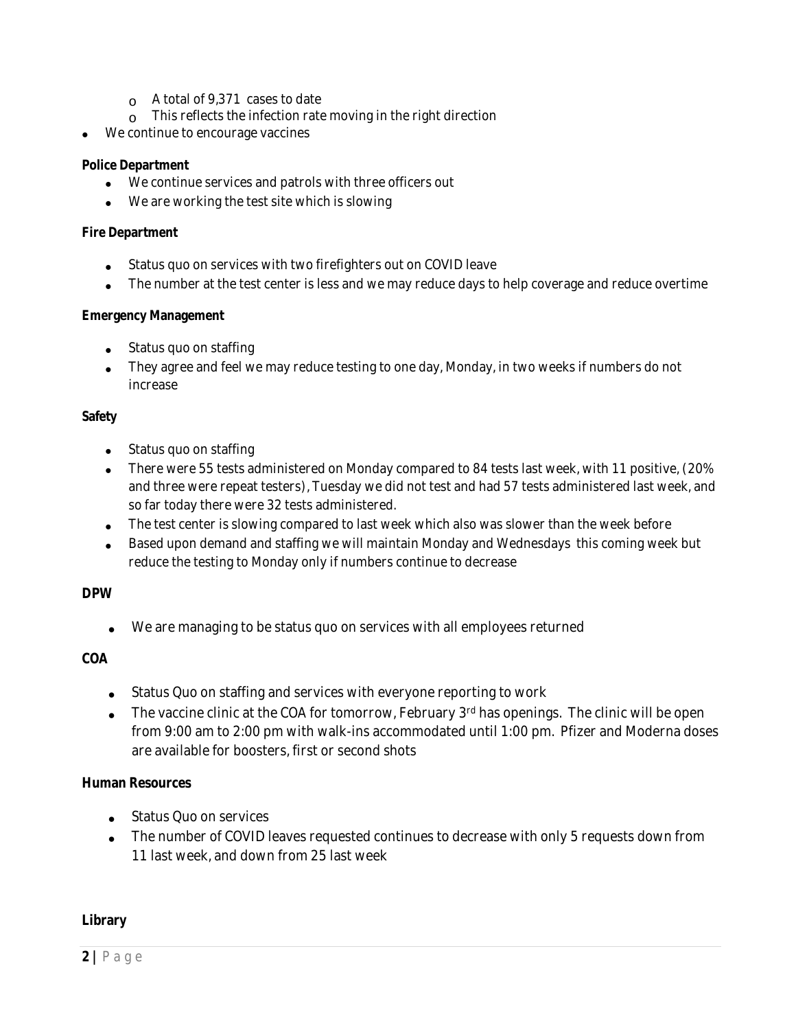- $\alpha$  A total of 9,371 cases to date
- $\circ$  This reflects the infection rate moving in the right direction
- We continue to encourage vaccines

#### **Police Department**

- We continue services and patrols with three officers out
- We are working the test site which is slowing

#### **Fire Department**

- Status quo on services with two firefighters out on COVID leave
- The number at the test center is less and we may reduce days to help coverage and reduce overtime

#### **Emergency Management**

- Status quo on staffing
- They agree and feel we may reduce testing to one day, Monday, in two weeks if numbers do not increase

#### **Safety**

- Status quo on staffing
- There were 55 tests administered on Monday compared to 84 tests last week, with 11 positive, (20% and three were repeat testers), Tuesday we did not test and had 57 tests administered last week, and so far today there were 32 tests administered.
- The test center is slowing compared to last week which also was slower than the week before
- Based upon demand and staffing we will maintain Monday and Wednesdays this coming week but reduce the testing to Monday only if numbers continue to decrease

## **DPW**

We are managing to be status quo on services with all employees returned

## **COA**

- Status Quo on staffing and services with everyone reporting to work
- The vaccine clinic at the COA for tomorrow, February 3rd has openings. The clinic will be open from 9:00 am to 2:00 pm with walk-ins accommodated until 1:00 pm. Pfizer and Moderna doses are available for boosters, first or second shots

## **Human Resources**

- Status Quo on services
- The number of COVID leaves requested continues to decrease with only 5 requests down from 11 last week, and down from 25 last week

## **Library**